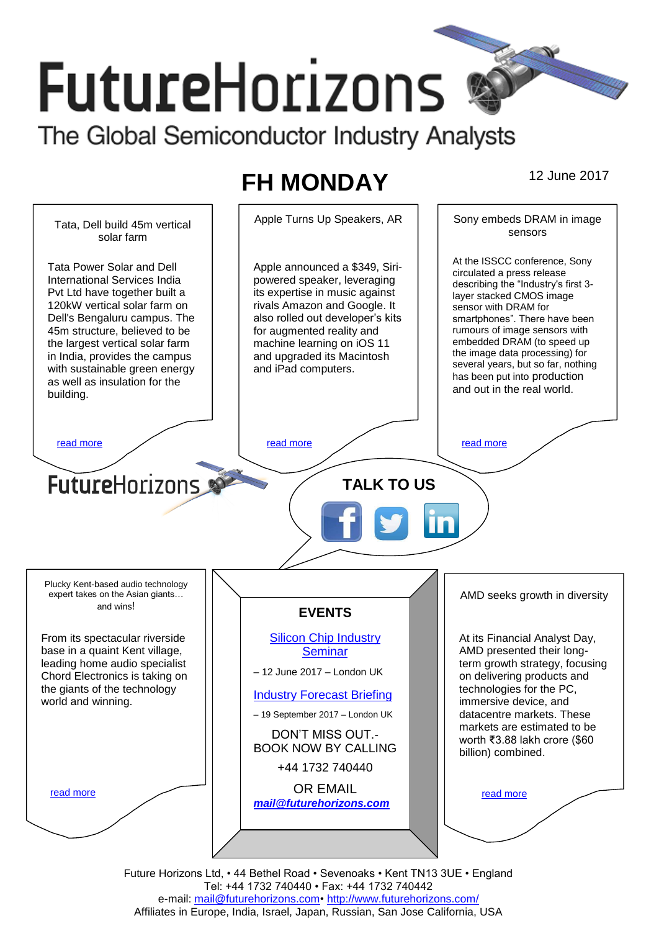# **FutureHorizons** The Global Semiconductor Industry Analysts

# **FH MONDAY** 12 June 2017



Future Horizons Ltd, • 44 Bethel Road • Sevenoaks • Kent TN13 3UE • England Tel: +44 1732 740440 • Fax: +44 1732 740442 e-mail: mail@futurehorizons.com• http://www.futurehorizons.com/ Affiliates in Europe, India, Israel, Japan, Russian, San Jose California, USA